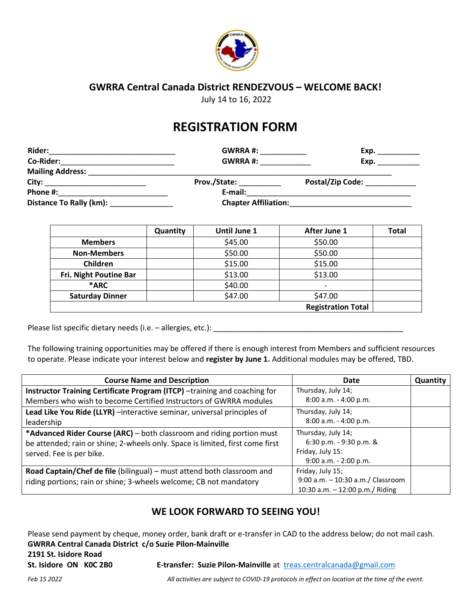

### **GWRRA Central Canada District RENDEZVOUS – WELCOME BACK!**

July 14 to 16, 2022

# **REGISTRATION FORM**

| <b>Rider:</b>                     | <b>GWRRA#:</b>              | Exp.                         |  |  |
|-----------------------------------|-----------------------------|------------------------------|--|--|
| Co-Rider:                         | <b>GWRRA#:</b>              | Exp.                         |  |  |
| Mailing Address: Mailing Address: |                             |                              |  |  |
|                                   | <b>Prov./State:</b>         | Postal/Zip Code: ___________ |  |  |
| Phone #:                          | E-mail:                     |                              |  |  |
| Distance To Rally (km):           | <b>Chapter Affiliation:</b> |                              |  |  |

|                        | Quantity | <b>Until June 1</b> | After June 1              | <b>Total</b> |
|------------------------|----------|---------------------|---------------------------|--------------|
| <b>Members</b>         |          | \$45.00             | \$50.00                   |              |
| <b>Non-Members</b>     |          | \$50.00             | \$50.00                   |              |
| Children               |          | \$15.00             | \$15.00                   |              |
| Fri. Night Poutine Bar |          | \$13.00             | \$13.00                   |              |
| *ARC                   |          | \$40.00             | $\overline{\phantom{0}}$  |              |
| <b>Saturday Dinner</b> |          | \$47.00             | \$47.00                   |              |
|                        |          |                     | <b>Registration Total</b> |              |

Please list specific dietary needs (i.e. – allergies, etc.): \_\_\_\_\_\_\_\_\_\_\_\_\_\_\_\_\_\_\_\_\_\_\_\_\_\_\_\_\_\_\_\_\_\_\_\_\_\_\_\_\_\_\_\_\_

The following training opportunities may be offered if there is enough interest from Members and sufficient resources to operate. Please indicate your interest below and **register by June 1.** Additional modules may be offered, TBD.

| <b>Course Name and Description</b>                                            | Date                              | Quantity |
|-------------------------------------------------------------------------------|-----------------------------------|----------|
| Instructor Training Certificate Program (ITCP) -training and coaching for     | Thursday, July 14;                |          |
| Members who wish to become Certified Instructors of GWRRA modules             | $8:00$ a.m. - 4:00 p.m.           |          |
| Lead Like You Ride (LLYR) -interactive seminar, universal principles of       | Thursday, July 14;                |          |
| leadership                                                                    | 8:00 a.m. - 4:00 p.m.             |          |
| *Advanced Rider Course (ARC) - both classroom and riding portion must         | Thursday, July 14;                |          |
| be attended; rain or shine; 2-wheels only. Space is limited, first come first | 6:30 p.m. - 9:30 p.m. &           |          |
| served. Fee is per bike.                                                      | Friday, July 15:                  |          |
|                                                                               | $9:00$ a.m. - 2:00 p.m.           |          |
| Road Captain/Chef de file (bilingual) - must attend both classroom and        | Friday, July 15;                  |          |
| riding portions; rain or shine; 3-wheels welcome; CB not mandatory            | 9:00 a.m. - 10:30 a.m./ Classroom |          |
|                                                                               | 10:30 a.m. - 12:00 p.m./ Riding   |          |

### **WE LOOK FORWARD TO SEEING YOU!**

Please send payment by cheque, money order, bank draft or e-transfer in CAD to the address below; do not mail cash. **GWRRA Central Canada District c/o Suzie Pilon-Mainville**

**2191 St. Isidore Road**

**St. Isidore ON K0C 2B0 E-transfer: Suzie Pilon-Mainville** at [treas.centralcanada@gmail.com](mailto:treas.centralcanada@gmail.com)

*Feb 15 2022 All activities are subject to COVID-19 protocols in effect on location at the time of the event.*